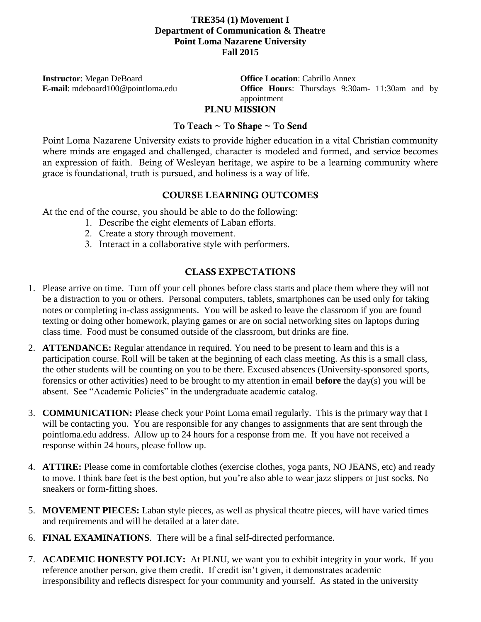### **TRE354 (1) Movement I Department of Communication & Theatre Point Loma Nazarene University Fall 2015**

**Instructor**: Megan DeBoard **Office Location**: Cabrillo Annex

**E-mail**: mdeboard100@pointloma.edu **Office Hours**: Thursdays 9:30am- 11:30am and by appointment

#### **PLNU MISSION**

### **To Teach ~ To Shape ~ To Send**

Point Loma Nazarene University exists to provide higher education in a vital Christian community where minds are engaged and challenged, character is modeled and formed, and service becomes an expression of faith. Being of Wesleyan heritage, we aspire to be a learning community where grace is foundational, truth is pursued, and holiness is a way of life.

#### **COURSE LEARNING OUTCOMES**

At the end of the course, you should be able to do the following:

- 1. Describe the eight elements of Laban efforts.
- 2. Create a story through movement.
- 3. Interact in a collaborative style with performers.

# **CLASS EXPECTATIONS**

- 1. Please arrive on time. Turn off your cell phones before class starts and place them where they will not be a distraction to you or others. Personal computers, tablets, smartphones can be used only for taking notes or completing in-class assignments. You will be asked to leave the classroom if you are found texting or doing other homework, playing games or are on social networking sites on laptops during class time. Food must be consumed outside of the classroom, but drinks are fine.
- 2. **ATTENDANCE:** Regular attendance in required. You need to be present to learn and this is a participation course. Roll will be taken at the beginning of each class meeting. As this is a small class, the other students will be counting on you to be there. Excused absences (University-sponsored sports, forensics or other activities) need to be brought to my attention in email **before** the day(s) you will be absent. See "Academic Policies" in the undergraduate academic catalog.
- 3. **COMMUNICATION:** Please check your Point Loma email regularly. This is the primary way that I will be contacting you. You are responsible for any changes to assignments that are sent through the pointloma.edu address. Allow up to 24 hours for a response from me. If you have not received a response within 24 hours, please follow up.
- 4. **ATTIRE:** Please come in comfortable clothes (exercise clothes, yoga pants, NO JEANS, etc) and ready to move. I think bare feet is the best option, but you're also able to wear jazz slippers or just socks. No sneakers or form-fitting shoes.
- 5. **MOVEMENT PIECES:** Laban style pieces, as well as physical theatre pieces, will have varied times and requirements and will be detailed at a later date.
- 6. **FINAL EXAMINATIONS**. There will be a final self-directed performance.
- 7. **ACADEMIC HONESTY POLICY:** At PLNU, we want you to exhibit integrity in your work. If you reference another person, give them credit. If credit isn't given, it demonstrates academic irresponsibility and reflects disrespect for your community and yourself. As stated in the university